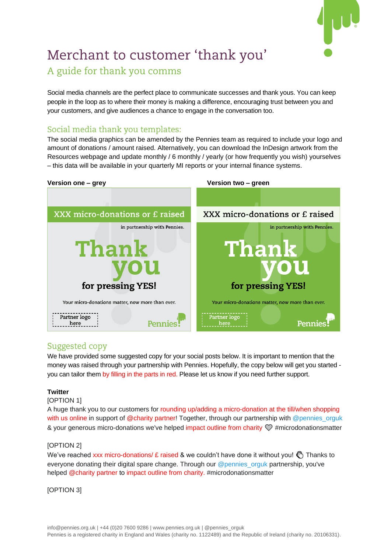

# Merchant to customer 'thank you' A guide for thank you comms

Social media channels are the perfect place to communicate successes and thank yous. You can keep people in the loop as to where their money is making a difference, encouraging trust between you and your customers, and give audiences a chance to engage in the conversation too.

# Social media thank you templates:

The social media graphics can be amended by the Pennies team as required to include your logo and amount of donations / amount raised. Alternatively, you can download the InDesign artwork from the Resources webpage and update monthly / 6 monthly / yearly (or how frequently you wish) yourselves – this data will be available in your quarterly MI reports or your internal finance systems.



# Suggested copy

We have provided some suggested copy for your social posts below. It is important to mention that the money was raised through your partnership with Pennies. Hopefully, the copy below will get you started you can tailor them by filling in the parts in red. Please let us know if you need further support.

# **Twitter**

#### [OPTION 1]

A huge thank you to our customers for rounding up/adding a micro-donation at the till/when shopping with us online in support of @charity partner! Together, through our partnership with @pennies\_orguk & your generous micro-donations we've helped impact outline from charity  $\mathcal{D}$  #microdonationsmatter

# [OPTION 2]

We've reached xxx micro-donations/  $E$  raised & we couldn't have done it without you!  $\binom{8}{3}$  Thanks to everyone donating their digital spare change. Through our @pennies\_orguk partnership, you've helped @charity partner to impact outline from charity. #microdonationsmatter

## [OPTION 3]